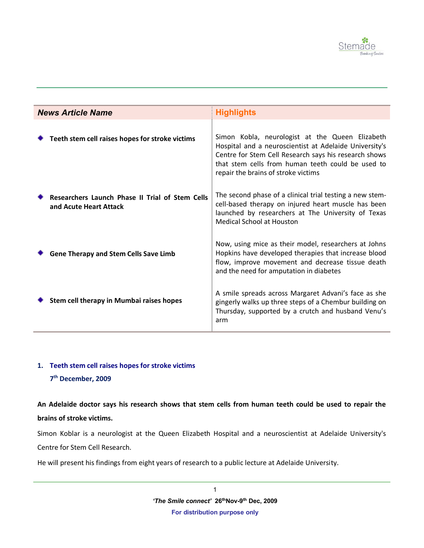

| <b>News Article Name</b> |                                                                           | <b>Highlights</b>                                                                                                                                                                                                                                              |
|--------------------------|---------------------------------------------------------------------------|----------------------------------------------------------------------------------------------------------------------------------------------------------------------------------------------------------------------------------------------------------------|
|                          | Teeth stem cell raises hopes for stroke victims                           | Simon Kobla, neurologist at the Queen Elizabeth<br>Hospital and a neuroscientist at Adelaide University's<br>Centre for Stem Cell Research says his research shows<br>that stem cells from human teeth could be used to<br>repair the brains of stroke victims |
|                          | Researchers Launch Phase II Trial of Stem Cells<br>and Acute Heart Attack | The second phase of a clinical trial testing a new stem-<br>cell-based therapy on injured heart muscle has been<br>launched by researchers at The University of Texas<br><b>Medical School at Houston</b>                                                      |
|                          | <b>Gene Therapy and Stem Cells Save Limb</b>                              | Now, using mice as their model, researchers at Johns<br>Hopkins have developed therapies that increase blood<br>flow, improve movement and decrease tissue death<br>and the need for amputation in diabetes                                                    |
|                          | Stem cell therapy in Mumbai raises hopes                                  | A smile spreads across Margaret Advani's face as she<br>gingerly walks up three steps of a Chembur building on<br>Thursday, supported by a crutch and husband Venu's<br>arm                                                                                    |

# **1. Teeth stem cell raises hopes for stroke victims**

### **7 th December, 2009**

**An Adelaide doctor says his research shows that stem cells from human teeth could be used to repair the brains of stroke victims.**

Simon Koblar is a neurologist at the Queen Elizabeth Hospital and a neuroscientist at Adelaide University's Centre for Stem Cell Research.

He will present his findings from eight years of research to a public lecture at Adelaide University.

1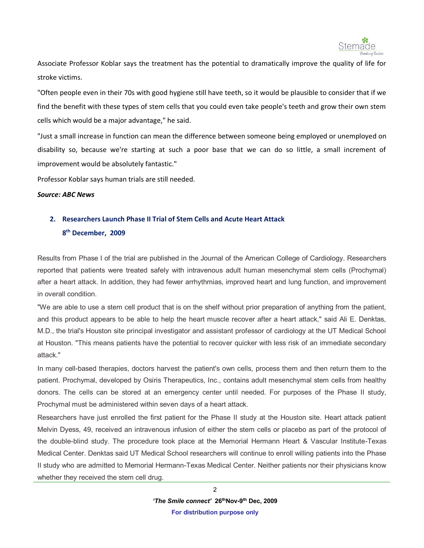

Associate Professor Koblar says the treatment has the potential to dramatically improve the quality of life for stroke victims.

"Often people even in their 70s with good hygiene still have teeth, so it would be plausible to consider that if we find the benefit with these types of stem cells that you could even take people's teeth and grow their own stem cells which would be a major advantage," he said.

"Just a small increase in function can mean the difference between someone being employed or unemployed on disability so, because we're starting at such a poor base that we can do so little, a small increment of improvement would be absolutely fantastic."

Professor Koblar says human trials are still needed.

#### *Source: ABC News*

## **2. Researchers Launch Phase II Trial of Stem Cells and Acute Heart Attack**

### **8 th December, 2009**

Results from Phase I of the trial are published in the Journal of the American College of Cardiology. Researchers reported that patients were treated safely with intravenous adult human mesenchymal stem cells (Prochymal) after a heart attack. In addition, they had fewer arrhythmias, improved heart and lung function, and improvement in overall condition.

"We are able to use a stem cell product that is on the shelf without prior preparation of anything from the patient, and this product appears to be able to help the heart muscle recover after a heart attack," said Ali E. Denktas, M.D., the trial's Houston site principal investigator and assistant professor of cardiology at the UT Medical School at Houston. "This means patients have the potential to recover quicker with less risk of an immediate secondary attack."

In many cell-based therapies, doctors harvest the patient's own cells, process them and then return them to the patient. Prochymal, developed by Osiris Therapeutics, Inc., contains adult mesenchymal stem cells from healthy donors. The cells can be stored at an emergency center until needed. For purposes of the Phase II study, Prochymal must be administered within seven days of a heart attack.

Researchers have just enrolled the first patient for the Phase II study at the Houston site. Heart attack patient Melvin Dyess, 49, received an intravenous infusion of either the stem cells or placebo as part of the protocol of the double-blind study. The procedure took place at the Memorial Hermann Heart & Vascular Institute-Texas Medical Center. Denktas said UT Medical School researchers will continue to enroll willing patients into the Phase II study who are admitted to Memorial Hermann-Texas Medical Center. Neither patients nor their physicians know whether they received the stem cell drug.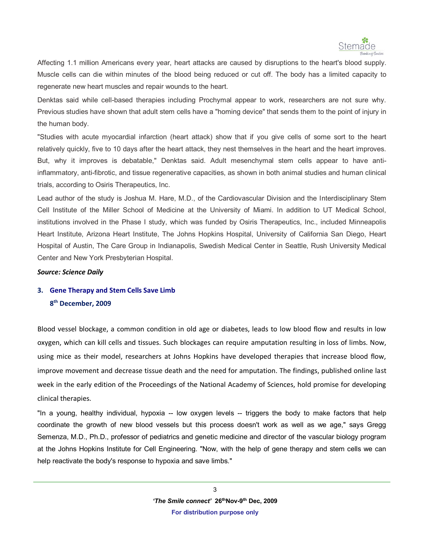

Affecting 1.1 million Americans every year, heart attacks are caused by disruptions to the heart's blood supply. Muscle cells can die within minutes of the blood being reduced or cut off. The body has a limited capacity to regenerate new heart muscles and repair wounds to the heart.

Denktas said while cell-based therapies including Prochymal appear to work, researchers are not sure why. Previous studies have shown that adult stem cells have a "homing device" that sends them to the point of injury in the human body.

"Studies with acute myocardial infarction (heart attack) show that if you give cells of some sort to the heart relatively quickly, five to 10 days after the heart attack, they nest themselves in the heart and the heart improves. But, why it improves is debatable," Denktas said. Adult mesenchymal stem cells appear to have antiinflammatory, anti-fibrotic, and tissue regenerative capacities, as shown in both animal studies and human clinical trials, according to Osiris Therapeutics, Inc.

Lead author of the study is Joshua M. Hare, M.D., of the Cardiovascular Division and the Interdisciplinary Stem Cell Institute of the Miller School of Medicine at the University of Miami. In addition to UT Medical School, institutions involved in the Phase I study, which was funded by Osiris Therapeutics, Inc., included Minneapolis Heart Institute, Arizona Heart Institute, The Johns Hopkins Hospital, University of California San Diego, Heart Hospital of Austin, The Care Group in Indianapolis, Swedish Medical Center in Seattle, Rush University Medical Center and New York Presbyterian Hospital.

#### *Source: Science Daily*

# **3. Gene Therapy and Stem Cells Save Limb 8 th December, 2009**

Blood vessel blockage, a common condition in old age or diabetes, leads to low blood flow and results in low oxygen, which can kill cells and tissues. Such blockages can require amputation resulting in loss of limbs. Now, using mice as their model, researchers at Johns Hopkins have developed therapies that increase blood flow, improve movement and decrease tissue death and the need for amputation. The findings, published online last week in the early edition of the Proceedings of the National Academy of Sciences, hold promise for developing clinical therapies.

"In a young, healthy individual, hypoxia -- low oxygen levels -- triggers the body to make factors that help coordinate the growth of new blood vessels but this process doesn't work as well as we age," says Gregg Semenza, M.D., Ph.D., professor of pediatrics and genetic medicine and director of the vascular biology program at the Johns Hopkins Institute for Cell Engineering. "Now, with the help of gene therapy and stem cells we can help reactivate the body's response to hypoxia and save limbs."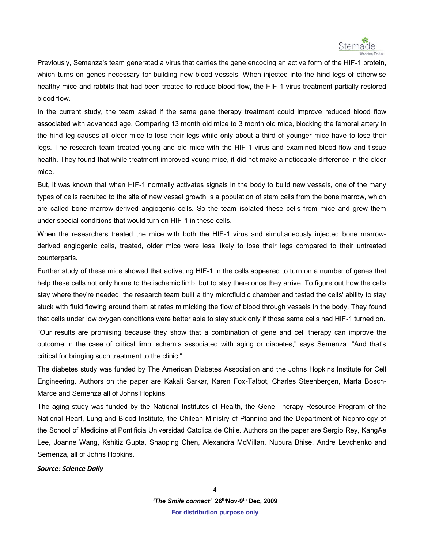

Previously, Semenza's team generated a virus that carries the gene encoding an active form of the HIF-1 protein, which turns on genes necessary for building new blood vessels. When injected into the hind legs of otherwise healthy mice and rabbits that had been treated to reduce blood flow, the HIF-1 virus treatment partially restored blood flow.

In the current study, the team asked if the same gene therapy treatment could improve reduced blood flow associated with advanced age. Comparing 13 month old mice to 3 month old mice, blocking the femoral artery in the hind leg causes all older mice to lose their legs while only about a third of younger mice have to lose their legs. The research team treated young and old mice with the HIF-1 virus and examined blood flow and tissue health. They found that while treatment improved young mice, it did not make a noticeable difference in the older mice.

But, it was known that when HIF-1 normally activates signals in the body to build new vessels, one of the many types of cells recruited to the site of new vessel growth is a population of stem cells from the bone marrow, which are called bone marrow-derived angiogenic cells. So the team isolated these cells from mice and grew them under special conditions that would turn on HIF-1 in these cells.

When the researchers treated the mice with both the HIF-1 virus and simultaneously injected bone marrowderived angiogenic cells, treated, older mice were less likely to lose their legs compared to their untreated counterparts.

Further study of these mice showed that activating HIF-1 in the cells appeared to turn on a number of genes that help these cells not only home to the ischemic limb, but to stay there once they arrive. To figure out how the cells stay where they're needed, the research team built a tiny microfluidic chamber and tested the cells' ability to stay stuck with fluid flowing around them at rates mimicking the flow of blood through vessels in the body. They found that cells under low oxygen conditions were better able to stay stuck only if those same cells had HIF-1 turned on.

"Our results are promising because they show that a combination of gene and cell therapy can improve the outcome in the case of critical limb ischemia associated with aging or diabetes," says Semenza. "And that's critical for bringing such treatment to the clinic."

The diabetes study was funded by The American Diabetes Association and the Johns Hopkins Institute for Cell Engineering. Authors on the paper are Kakali Sarkar, Karen Fox-Talbot, Charles Steenbergen, Marta Bosch-Marce and Semenza all of Johns Hopkins.

The aging study was funded by the National Institutes of Health, the Gene Therapy Resource Program of the National Heart, Lung and Blood Institute, the Chilean Ministry of Planning and the Department of Nephrology of the School of Medicine at Pontificia Universidad Catolica de Chile. Authors on the paper are Sergio Rey, KangAe Lee, Joanne Wang, Kshitiz Gupta, Shaoping Chen, Alexandra McMillan, Nupura Bhise, Andre Levchenko and Semenza, all of Johns Hopkins.

#### *Source: Science Daily*

4